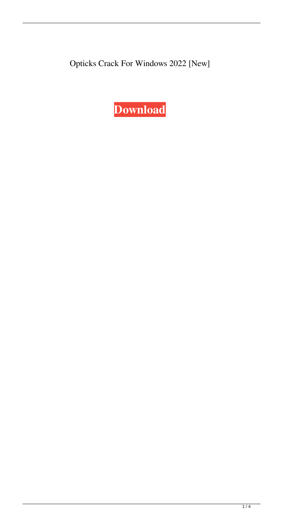Opticks Crack For Windows 2022 [New]

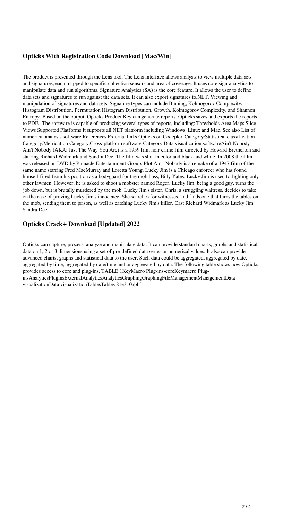## **Opticks With Registration Code Download [Mac/Win]**

The product is presented through the Lens tool. The Lens interface allows analysts to view multiple data sets and signatures, each mapped to specific collection sensors and area of coverage. It uses core sign-analytics to manipulate data and run algorithms. Signature Analytics (SA) is the core feature. It allows the user to define data sets and signatures to run against the data sets. It can also export signatures to.NET. Viewing and manipulation of signatures and data sets. Signature types can include Binning, Kolmogorov Complexity, Histogram Distribution, Permutation Histogram Distribution, Growth, Kolmogorov Complexity, and Shannon Entropy. Based on the output, Opticks Product Key can generate reports. Opticks saves and exports the reports to PDF. The software is capable of producing several types of reports, including: Thresholds Area Maps Slice Views Supported Platforms It supports all.NET platform including Windows, Linux and Mac. See also List of numerical analysis software References External links Opticks on Codeplex Category:Statistical classification Category:Metrication Category:Cross-platform software Category:Data visualization softwareAin't Nobody Ain't Nobody (AKA: Just The Way You Are) is a 1959 film noir crime film directed by Howard Bretherton and starring Richard Widmark and Sandra Dee. The film was shot in color and black and white. In 2008 the film was released on DVD by Pinnacle Entertainment Group. Plot Ain't Nobody is a remake of a 1947 film of the same name starring Fred MacMurray and Loretta Young. Lucky Jim is a Chicago enforcer who has found himself fired from his position as a bodyguard for the mob boss, Billy Yates. Lucky Jim is used to fighting only other lawmen. However, he is asked to shoot a mobster named Roger. Lucky Jim, being a good guy, turns the job down, but is brutally murdered by the mob. Lucky Jim's sister, Chris, a struggling waitress, decides to take on the case of proving Lucky Jim's innocence. She searches for witnesses, and finds one that turns the tables on the mob, sending them to prison, as well as catching Lucky Jim's killer. Cast Richard Widmark as Lucky Jim Sandra Dee

# **Opticks Crack+ Download [Updated] 2022**

Opticks can capture, process, analyze and manipulate data. It can provide standard charts, graphs and statistical data on 1, 2 or 3 dimensions using a set of pre-defined data series or numerical values. It also can provide advanced charts, graphs and statistical data to the user. Such data could be aggregated, aggregated by date, aggregated by time, aggregated by date/time and or aggregated by data. The following table shows how Opticks provides access to core and plug-ins. TABLE 1KeyMacro Plug-ins-coreKeymacro PluginsAnalyticsPluginsExternalAnalyticsAnalyticsGraphingGraphingFileManagementManagementData visualizationData visualizationTablesTables 81e310abbf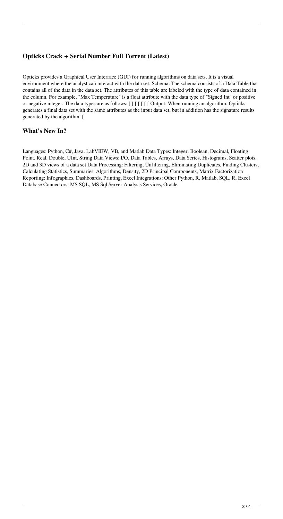### **Opticks Crack + Serial Number Full Torrent (Latest)**

Opticks provides a Graphical User Interface (GUI) for running algorithms on data sets. It is a visual environment where the analyst can interact with the data set. Schema: The schema consists of a Data Table that contains all of the data in the data set. The attributes of this table are labeled with the type of data contained in the column. For example, "Max Temperature" is a float attribute with the data type of "Signed Int" or positive or negative integer. The data types are as follows: [ [ [ [ [ [ [ Output: When running an algorithm, Opticks generates a final data set with the same attributes as the input data set, but in addition has the signature results generated by the algorithm. [

## **What's New In?**

Languages: Python, C#, Java, LabVIEW, VB, and Matlab Data Types: Integer, Boolean, Decimal, Floating Point, Real, Double, UInt, String Data Views: I/O, Data Tables, Arrays, Data Series, Histograms, Scatter plots, 2D and 3D views of a data set Data Processing: Filtering, Unfiltering, Eliminating Duplicates, Finding Clusters, Calculating Statistics, Summaries, Algorithms, Density, 2D Principal Components, Matrix Factorization Reporting: Infographics, Dashboards, Printing, Excel Integrations: Other Python, R, Matlab, SQL, R, Excel Database Connectors: MS SQL, MS Sql Server Analysis Services, Oracle